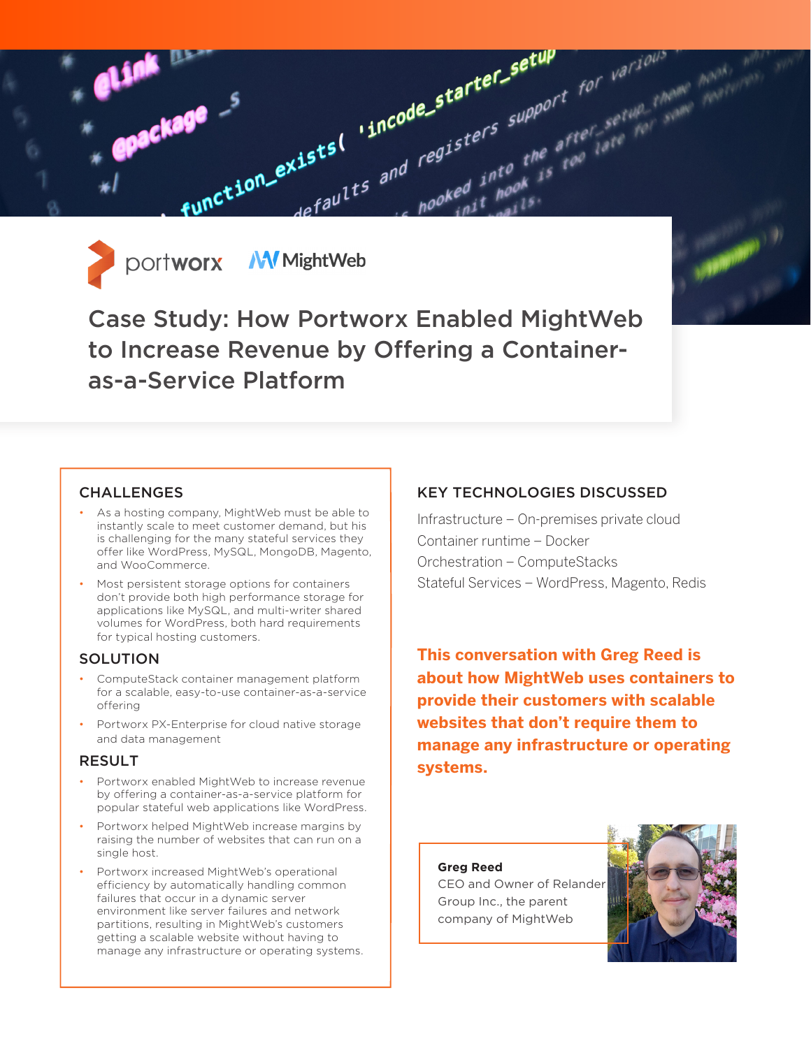



Case Study: How Portworx Enabled MightWeb to Increase Revenue by Offering a Containeras-a-Service Platform

#### **CHALLENGES**

- As a hosting company, MightWeb must be able to instantly scale to meet customer demand, but his is challenging for the many stateful services they offer like WordPress, MySQL, MongoDB, Magento, and WooCommerce.
- Most persistent storage options for containers don't provide both high performance storage for applications like MySQL, and multi-writer shared volumes for WordPress, both hard requirements for typical hosting customers.

#### **SOLUTION**

- ComputeStack container management platform for a scalable, easy-to-use container-as-a-service offering
- Portworx PX-Enterprise for cloud native storage and data management

#### RESULT

- Portworx enabled MightWeb to increase revenue by offering a container-as-a-service platform for popular stateful web applications like WordPress.
- Portworx helped MightWeb increase margins by raising the number of websites that can run on a single host.
- Portworx increased MightWeb's operational efficiency by automatically handling common failures that occur in a dynamic server environment like server failures and network partitions, resulting in MightWeb's customers getting a scalable website without having to manage any infrastructure or operating systems.

#### KEY TECHNOLOGIES DISCUSSED

Infrastructure – On-premises private cloud Container runtime – Docker Orchestration – ComputeStacks Stateful Services – WordPress, Magento, Redis

**This conversation with Greg Reed is about how MightWeb uses containers to provide their customers with scalable websites that don't require them to manage any infrastructure or operating systems.**

#### **Greg Reed**

CEO and Owner of Relander Group Inc., the parent company of MightWeb

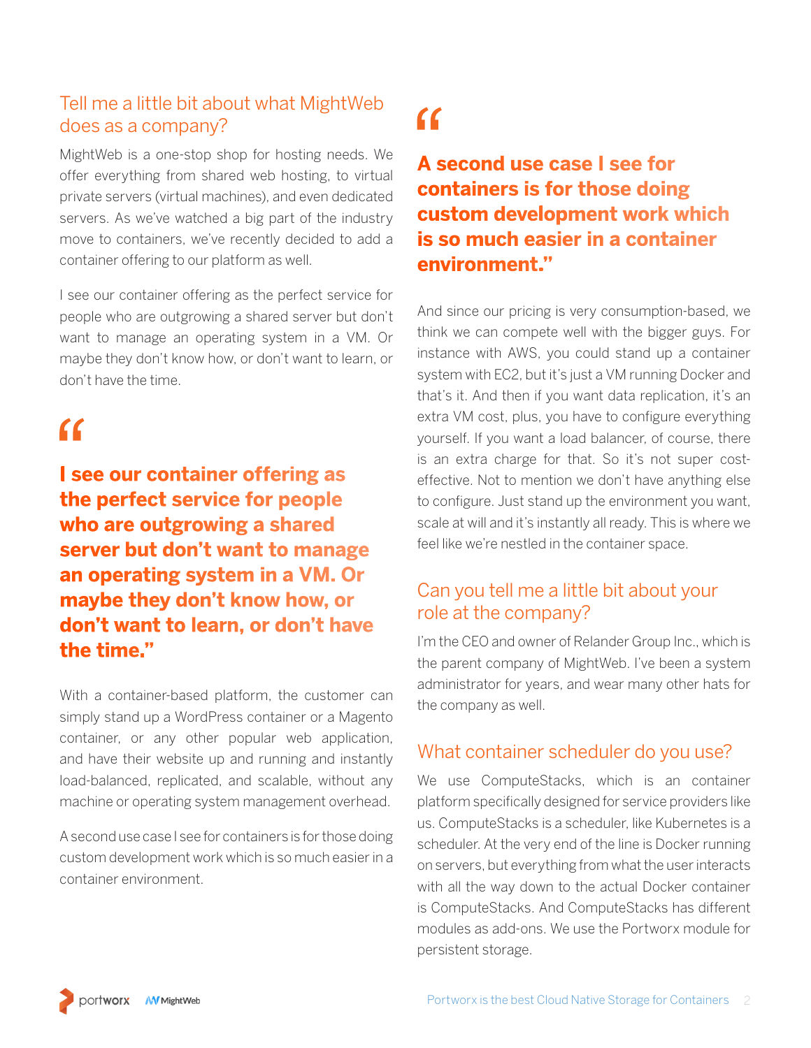## Tell me a little bit about what MightWeb does as a company?

MightWeb is a one-stop shop for hosting needs. We offer everything from shared web hosting, to virtual private servers (virtual machines), and even dedicated servers. As we've watched a big part of the industry move to containers, we've recently decided to add a container offering to our platform as well.

I see our container offering as the perfect service for people who are outgrowing a shared server but don't want to manage an operating system in a VM. Or maybe they don't know how, or don't want to learn, or don't have the time.

## $\epsilon$

**I see our container offering as the perfect service for people who are outgrowing a shared server but don't want to manage an operating system in a VM. Or maybe they don't know how, or don't want to learn, or don't have the time."**

With a container-based platform, the customer can simply stand up a WordPress container or a Magento container, or any other popular web application, and have their website up and running and instantly load-balanced, replicated, and scalable, without any machine or operating system management overhead.

A second use case I see for containers is for those doing custom development work which is so much easier in a container environment.

# $\epsilon$

## **A second use case I see for containers is for those doing custom development work which is so much easier in a container environment."**

And since our pricing is very consumption-based, we think we can compete well with the bigger guys. For instance with AWS, you could stand up a container system with EC2, but it's just a VM running Docker and that's it. And then if you want data replication, it's an extra VM cost, plus, you have to configure everything yourself. If you want a load balancer, of course, there is an extra charge for that. So it's not super costeffective. Not to mention we don't have anything else to configure. Just stand up the environment you want, scale at will and it's instantly all ready. This is where we feel like we're nestled in the container space.

## Can you tell me a little bit about your role at the company?

I'm the CEO and owner of Relander Group Inc., which is the parent company of MightWeb. I've been a system administrator for years, and wear many other hats for the company as well.

### What container scheduler do you use?

We use ComputeStacks, which is an container platform specifically designed for service providers like us. ComputeStacks is a scheduler, like Kubernetes is a scheduler. At the very end of the line is Docker running on servers, but everything from what the user interacts with all the way down to the actual Docker container is ComputeStacks. And ComputeStacks has different modules as add-ons. We use the Portworx module for persistent storage.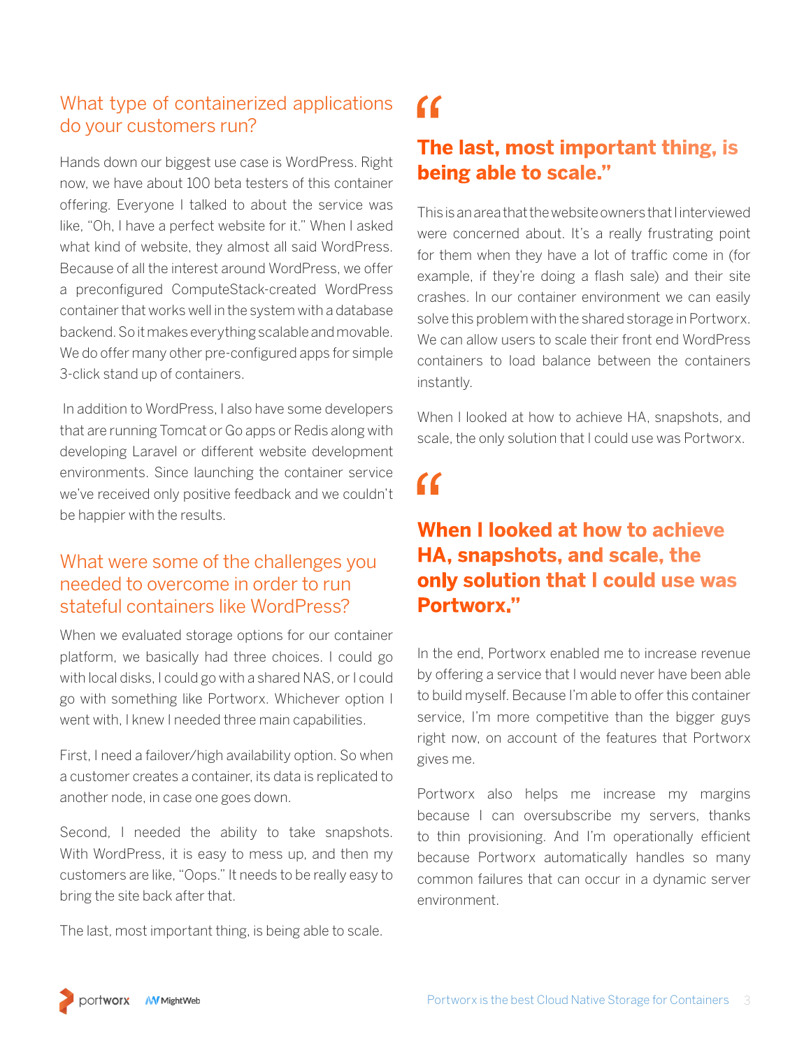### What type of containerized applications do your customers run?

Hands down our biggest use case is WordPress. Right now, we have about 100 beta testers of this container offering. Everyone I talked to about the service was like, "Oh, I have a perfect website for it." When I asked what kind of website, they almost all said WordPress. Because of all the interest around WordPress, we offer a preconfigured ComputeStack-created WordPress container that works well in the system with a database backend. So it makes everything scalable and movable. We do offer many other pre-configured apps for simple 3-click stand up of containers.

 In addition to WordPress, I also have some developers that are running Tomcat or Go apps or Redis along with developing Laravel or different website development environments. Since launching the container service we've received only positive feedback and we couldn't be happier with the results.

### What were some of the challenges you needed to overcome in order to run stateful containers like WordPress?

When we evaluated storage options for our container platform, we basically had three choices. I could go with local disks, I could go with a shared NAS, or I could go with something like Portworx. Whichever option I went with, I knew I needed three main capabilities.

First, I need a failover/high availability option. So when a customer creates a container, its data is replicated to another node, in case one goes down.

Second, I needed the ability to take snapshots. With WordPress, it is easy to mess up, and then my customers are like, "Oops." It needs to be really easy to bring the site back after that.

The last, most important thing, is being able to scale.

# $\epsilon$

## **The last, most important thing, is being able to scale."**

This is an area that the website owners that I interviewed were concerned about. It's a really frustrating point for them when they have a lot of traffic come in (for example, if they're doing a flash sale) and their site crashes. In our container environment we can easily solve this problem with the shared storage in Portworx. We can allow users to scale their front end WordPress containers to load balance between the containers instantly.

When I looked at how to achieve HA, snapshots, and scale, the only solution that I could use was Portworx.

## $\epsilon$

## **When I looked at how to achieve HA, snapshots, and scale, the only solution that I could use was Portworx."**

In the end, Portworx enabled me to increase revenue by offering a service that I would never have been able to build myself. Because I'm able to offer this container service, I'm more competitive than the bigger guys right now, on account of the features that Portworx gives me.

Portworx also helps me increase my margins because I can oversubscribe my servers, thanks to thin provisioning. And I'm operationally efficient because Portworx automatically handles so many common failures that can occur in a dynamic server environment.